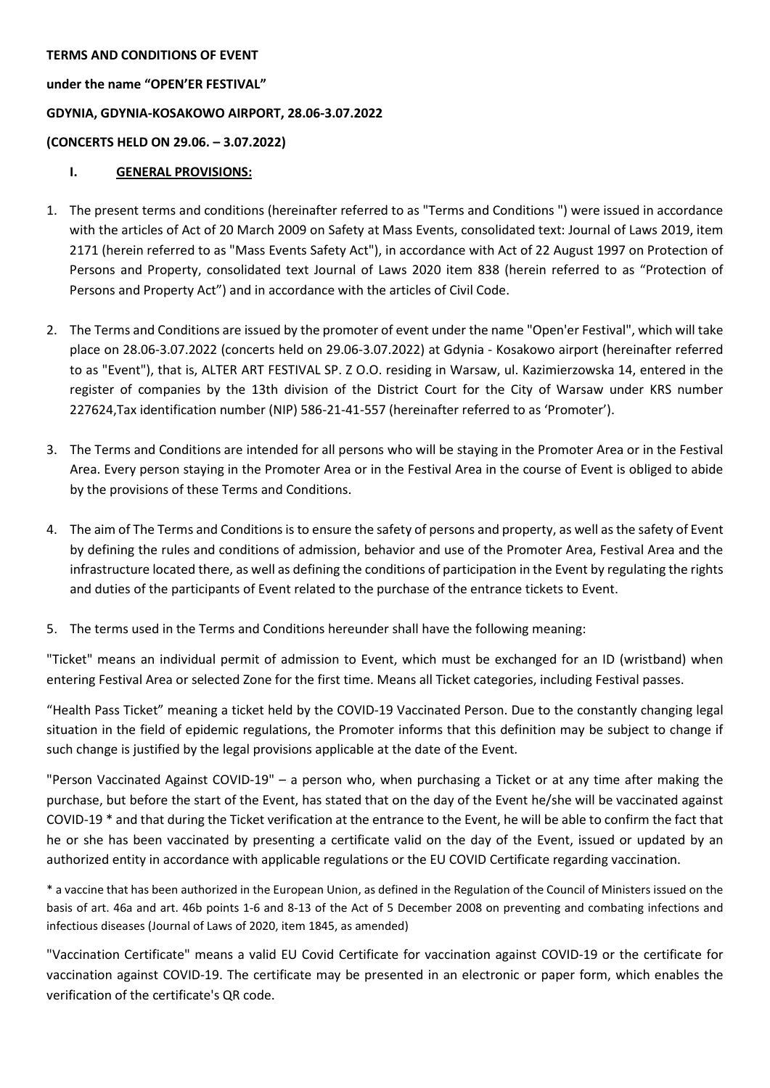### **TERMS AND CONDITIONS OF EVENT**

**under the name "OPEN'ER FESTIVAL" GDYNIA, GDYNIA-KOSAKOWO AIRPORT, 28.06-3.07.2022 (CONCERTS HELD ON 29.06. – 3.07.2022)**

## **I. GENERAL PROVISIONS:**

- 1. The present terms and conditions (hereinafter referred to as "Terms and Conditions ") were issued in accordance with the articles of Act of 20 March 2009 on Safety at Mass Events, consolidated text: Journal of Laws 2019, item 2171 (herein referred to as "Mass Events Safety Act"), in accordance with Act of 22 August 1997 on Protection of Persons and Property, consolidated text Journal of Laws 2020 item 838 (herein referred to as "Protection of Persons and Property Act") and in accordance with the articles of Civil Code.
- 2. The Terms and Conditions are issued by the promoter of event under the name "Open'er Festival", which will take place on 28.06-3.07.2022 (concerts held on 29.06-3.07.2022) at Gdynia - Kosakowo airport (hereinafter referred to as "Event"), that is, ALTER ART FESTIVAL SP. Z O.O. residing in Warsaw, ul. Kazimierzowska 14, entered in the register of companies by the 13th division of the District Court for the City of Warsaw under KRS number 227624,Tax identification number (NIP) 586-21-41-557 (hereinafter referred to as 'Promoter').
- 3. The Terms and Conditions are intended for all persons who will be staying in the Promoter Area or in the Festival Area. Every person staying in the Promoter Area or in the Festival Area in the course of Event is obliged to abide by the provisions of these Terms and Conditions.
- 4. The aim of The Terms and Conditions is to ensure the safety of persons and property, as well as the safety of Event by defining the rules and conditions of admission, behavior and use of the Promoter Area, Festival Area and the infrastructure located there, as well as defining the conditions of participation in the Event by regulating the rights and duties of the participants of Event related to the purchase of the entrance tickets to Event.
- 5. The terms used in the Terms and Conditions hereunder shall have the following meaning:

"Ticket" means an individual permit of admission to Event, which must be exchanged for an ID (wristband) when entering Festival Area or selected Zone for the first time. Means all Ticket categories, including Festival passes.

"Health Pass Ticket" meaning a ticket held by the COVID-19 Vaccinated Person. Due to the constantly changing legal situation in the field of epidemic regulations, the Promoter informs that this definition may be subject to change if such change is justified by the legal provisions applicable at the date of the Event.

"Person Vaccinated Against COVID-19" – a person who, when purchasing a Ticket or at any time after making the purchase, but before the start of the Event, has stated that on the day of the Event he/she will be vaccinated against COVID-19 \* and that during the Ticket verification at the entrance to the Event, he will be able to confirm the fact that he or she has been vaccinated by presenting a certificate valid on the day of the Event, issued or updated by an authorized entity in accordance with applicable regulations or the EU COVID Certificate regarding vaccination.

\* a vaccine that has been authorized in the European Union, as defined in the Regulation of the Council of Ministers issued on the basis of art. 46a and art. 46b points 1-6 and 8-13 of the Act of 5 December 2008 on preventing and combating infections and infectious diseases (Journal of Laws of 2020, item 1845, as amended)

"Vaccination Certificate" means a valid EU Covid Certificate for vaccination against COVID-19 or the certificate for vaccination against COVID-19. The certificate may be presented in an electronic or paper form, which enables the verification of the certificate's QR code.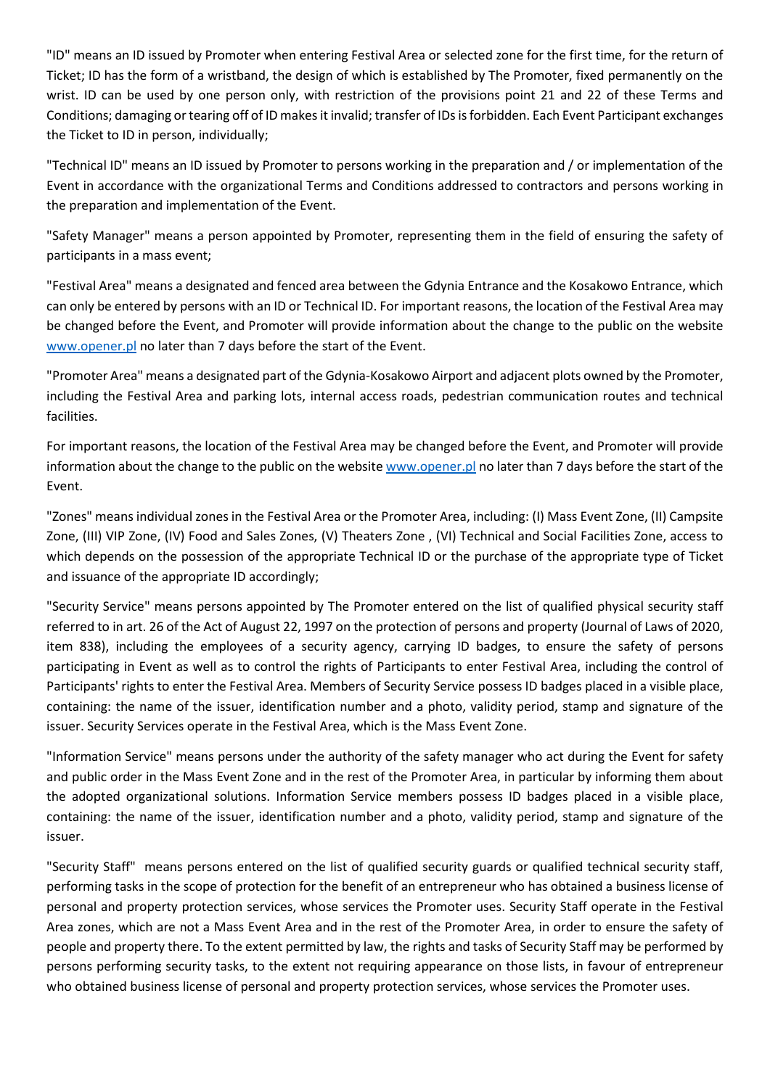"ID" means an ID issued by Promoter when entering Festival Area or selected zone for the first time, for the return of Ticket; ID has the form of a wristband, the design of which is established by The Promoter, fixed permanently on the wrist. ID can be used by one person only, with restriction of the provisions point 21 and 22 of these Terms and Conditions; damaging or tearing off of ID makes it invalid; transfer of IDsis forbidden. Each Event Participant exchanges the Ticket to ID in person, individually;

"Technical ID" means an ID issued by Promoter to persons working in the preparation and / or implementation of the Event in accordance with the organizational Terms and Conditions addressed to contractors and persons working in the preparation and implementation of the Event.

"Safety Manager" means a person appointed by Promoter, representing them in the field of ensuring the safety of participants in a mass event;

"Festival Area" means a designated and fenced area between the Gdynia Entrance and the Kosakowo Entrance, which can only be entered by persons with an ID or Technical ID. For important reasons, the location of the Festival Area may be changed before the Event, and Promoter will provide information about the change to the public on the website [www.opener.pl](http://www.opener.pl/) no later than 7 days before the start of the Event.

"Promoter Area" means a designated part of the Gdynia-Kosakowo Airport and adjacent plots owned by the Promoter, including the Festival Area and parking lots, internal access roads, pedestrian communication routes and technical facilities.

For important reasons, the location of the Festival Area may be changed before the Event, and Promoter will provide information about the change to the public on the websit[e www.opener.pl](http://www.opener.pl/) no later than 7 days before the start of the Event.

"Zones" means individual zones in the Festival Area or the Promoter Area, including: (I) Mass Event Zone, (II) Campsite Zone, (III) VIP Zone, (IV) Food and Sales Zones, (V) Theaters Zone , (VI) Technical and Social Facilities Zone, access to which depends on the possession of the appropriate Technical ID or the purchase of the appropriate type of Ticket and issuance of the appropriate ID accordingly;

"Security Service" means persons appointed by The Promoter entered on the list of qualified physical security staff referred to in art. 26 of the Act of August 22, 1997 on the protection of persons and property (Journal of Laws of 2020, item 838), including the employees of a security agency, carrying ID badges, to ensure the safety of persons participating in Event as well as to control the rights of Participants to enter Festival Area, including the control of Participants' rights to enter the Festival Area. Members of Security Service possess ID badges placed in a visible place, containing: the name of the issuer, identification number and a photo, validity period, stamp and signature of the issuer. Security Services operate in the Festival Area, which is the Mass Event Zone.

"Information Service" means persons under the authority of the safety manager who act during the Event for safety and public order in the Mass Event Zone and in the rest of the Promoter Area, in particular by informing them about the adopted organizational solutions. Information Service members possess ID badges placed in a visible place, containing: the name of the issuer, identification number and a photo, validity period, stamp and signature of the issuer.

"Security Staff" means persons entered on the list of qualified security guards or qualified technical security staff, performing tasks in the scope of protection for the benefit of an entrepreneur who has obtained a business license of personal and property protection services, whose services the Promoter uses. Security Staff operate in the Festival Area zones, which are not a Mass Event Area and in the rest of the Promoter Area, in order to ensure the safety of people and property there. To the extent permitted by law, the rights and tasks of Security Staff may be performed by persons performing security tasks, to the extent not requiring appearance on those lists, in favour of entrepreneur who obtained business license of personal and property protection services, whose services the Promoter uses.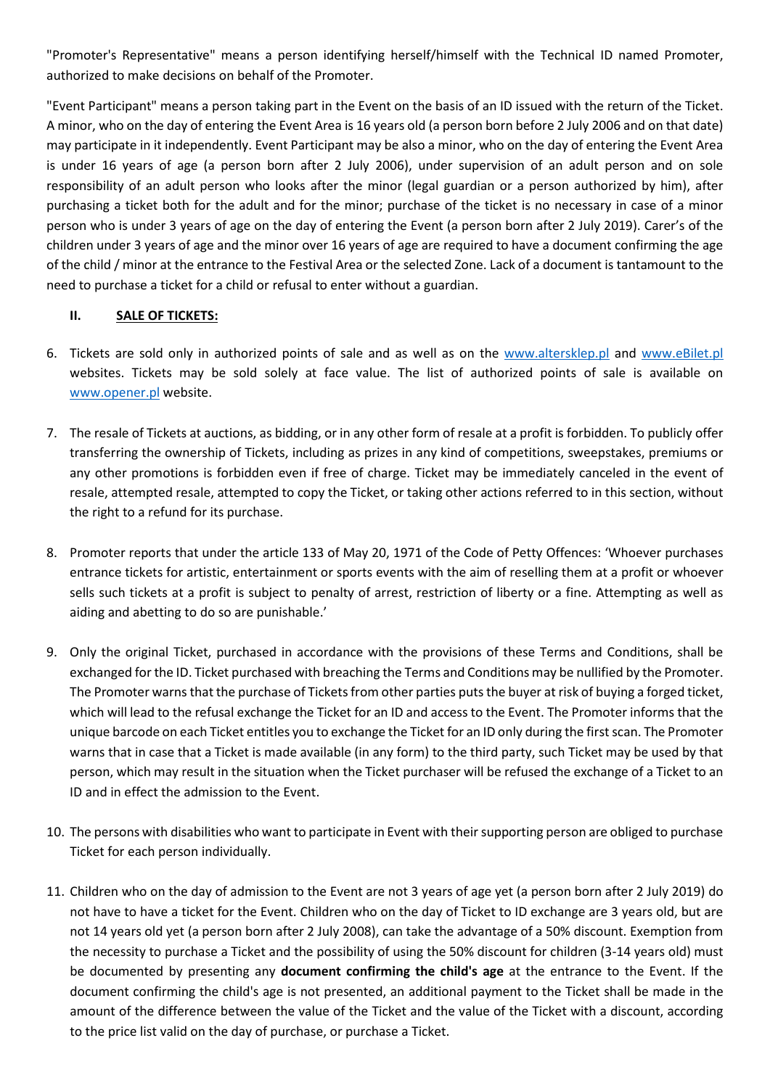"Promoter's Representative" means a person identifying herself/himself with the Technical ID named Promoter, authorized to make decisions on behalf of the Promoter.

"Event Participant" means a person taking part in the Event on the basis of an ID issued with the return of the Ticket. A minor, who on the day of entering the Event Area is 16 years old (a person born before 2 July 2006 and on that date) may participate in it independently. Event Participant may be also a minor, who on the day of entering the Event Area is under 16 years of age (a person born after 2 July 2006), under supervision of an adult person and on sole responsibility of an adult person who looks after the minor (legal guardian or a person authorized by him), after purchasing a ticket both for the adult and for the minor; purchase of the ticket is no necessary in case of a minor person who is under 3 years of age on the day of entering the Event (a person born after 2 July 2019). Carer's of the children under 3 years of age and the minor over 16 years of age are required to have a document confirming the age of the child / minor at the entrance to the Festival Area or the selected Zone. Lack of a document is tantamount to the need to purchase a ticket for a child or refusal to enter without a guardian.

## **II. SALE OF TICKETS:**

- 6. Tickets are sold only in authorized points of sale and as well as on the [www.altersklep.pl](http://www.altersklep.pl/) and [www.eBilet.pl](http://www.ebilet.pl/) websites. Tickets may be sold solely at face value. The list of authorized points of sale is available on [www.opener.pl](http://www.opener.pl/) website.
- 7. The resale of Tickets at auctions, as bidding, or in any other form of resale at a profit is forbidden. To publicly offer transferring the ownership of Tickets, including as prizes in any kind of competitions, sweepstakes, premiums or any other promotions is forbidden even if free of charge. Ticket may be immediately canceled in the event of resale, attempted resale, attempted to copy the Ticket, or taking other actions referred to in this section, without the right to a refund for its purchase.
- 8. Promoter reports that under the article 133 of May 20, 1971 of the Code of Petty Offences: 'Whoever purchases entrance tickets for artistic, entertainment or sports events with the aim of reselling them at a profit or whoever sells such tickets at a profit is subject to penalty of arrest, restriction of liberty or a fine. Attempting as well as aiding and abetting to do so are punishable.'
- 9. Only the original Ticket, purchased in accordance with the provisions of these Terms and Conditions, shall be exchanged for the ID. Ticket purchased with breaching the Terms and Conditions may be nullified by the Promoter. The Promoter warns that the purchase of Tickets from other parties puts the buyer at risk of buying a forged ticket, which will lead to the refusal exchange the Ticket for an ID and access to the Event. The Promoter informs that the unique barcode on each Ticket entitles you to exchange the Ticket for an ID only during the first scan. The Promoter warns that in case that a Ticket is made available (in any form) to the third party, such Ticket may be used by that person, which may result in the situation when the Ticket purchaser will be refused the exchange of a Ticket to an ID and in effect the admission to the Event.
- 10. The persons with disabilities who want to participate in Event with their supporting person are obliged to purchase Ticket for each person individually.
- 11. Children who on the day of admission to the Event are not 3 years of age yet (a person born after 2 July 2019) do not have to have a ticket for the Event. Children who on the day of Ticket to ID exchange are 3 years old, but are not 14 years old yet (a person born after 2 July 2008), can take the advantage of a 50% discount. Exemption from the necessity to purchase a Ticket and the possibility of using the 50% discount for children (3-14 years old) must be documented by presenting any **document confirming the child's age** at the entrance to the Event. If the document confirming the child's age is not presented, an additional payment to the Ticket shall be made in the amount of the difference between the value of the Ticket and the value of the Ticket with a discount, according to the price list valid on the day of purchase, or purchase a Ticket.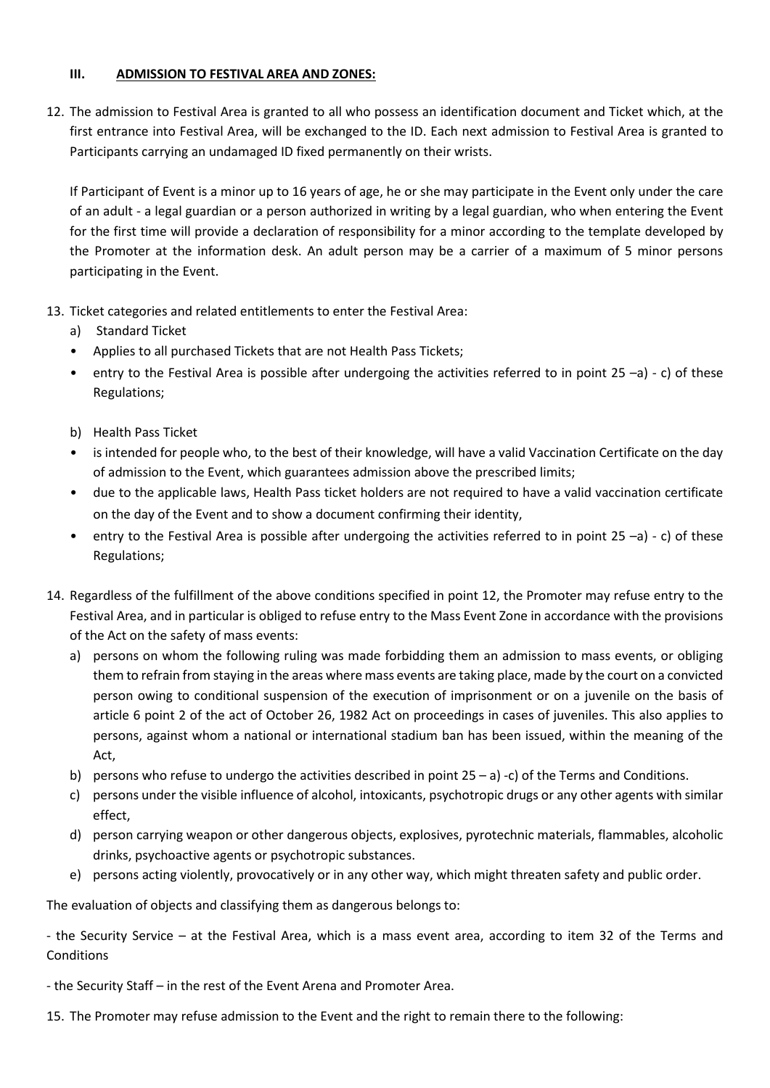## **III. ADMISSION TO FESTIVAL AREA AND ZONES:**

12. The admission to Festival Area is granted to all who possess an identification document and Ticket which, at the first entrance into Festival Area, will be exchanged to the ID. Each next admission to Festival Area is granted to Participants carrying an undamaged ID fixed permanently on their wrists.

If Participant of Event is a minor up to 16 years of age, he or she may participate in the Event only under the care of an adult - a legal guardian or a person authorized in writing by a legal guardian, who when entering the Event for the first time will provide a declaration of responsibility for a minor according to the template developed by the Promoter at the information desk. An adult person may be a carrier of a maximum of 5 minor persons participating in the Event.

- 13. Ticket categories and related entitlements to enter the Festival Area:
	- a) Standard Ticket
	- Applies to all purchased Tickets that are not Health Pass Tickets;
	- entry to the Festival Area is possible after undergoing the activities referred to in point  $25 a$ ) c) of these Regulations;
	- b) Health Pass Ticket
	- is intended for people who, to the best of their knowledge, will have a valid Vaccination Certificate on the day of admission to the Event, which guarantees admission above the prescribed limits;
	- due to the applicable laws, Health Pass ticket holders are not required to have a valid vaccination certificate on the day of the Event and to show a document confirming their identity,
	- entry to the Festival Area is possible after undergoing the activities referred to in point 25 –a) c) of these Regulations;
- 14. Regardless of the fulfillment of the above conditions specified in point 12, the Promoter may refuse entry to the Festival Area, and in particular is obliged to refuse entry to the Mass Event Zone in accordance with the provisions of the Act on the safety of mass events:
	- a) persons on whom the following ruling was made forbidding them an admission to mass events, or obliging them to refrain from staying in the areas where mass events are taking place, made by the court on a convicted person owing to conditional suspension of the execution of imprisonment or on a juvenile on the basis of article 6 point 2 of the act of October 26, 1982 Act on proceedings in cases of juveniles. This also applies to persons, against whom a national or international stadium ban has been issued, within the meaning of the Act,
	- b) persons who refuse to undergo the activities described in point  $25 a$ ) -c) of the Terms and Conditions.
	- c) persons under the visible influence of alcohol, intoxicants, psychotropic drugs or any other agents with similar effect,
	- d) person carrying weapon or other dangerous objects, explosives, pyrotechnic materials, flammables, alcoholic drinks, psychoactive agents or psychotropic substances.
	- e) persons acting violently, provocatively or in any other way, which might threaten safety and public order.

The evaluation of objects and classifying them as dangerous belongs to:

- the Security Service – at the Festival Area, which is a mass event area, according to item 32 of the Terms and **Conditions** 

- the Security Staff in the rest of the Event Arena and Promoter Area.
- 15. The Promoter may refuse admission to the Event and the right to remain there to the following: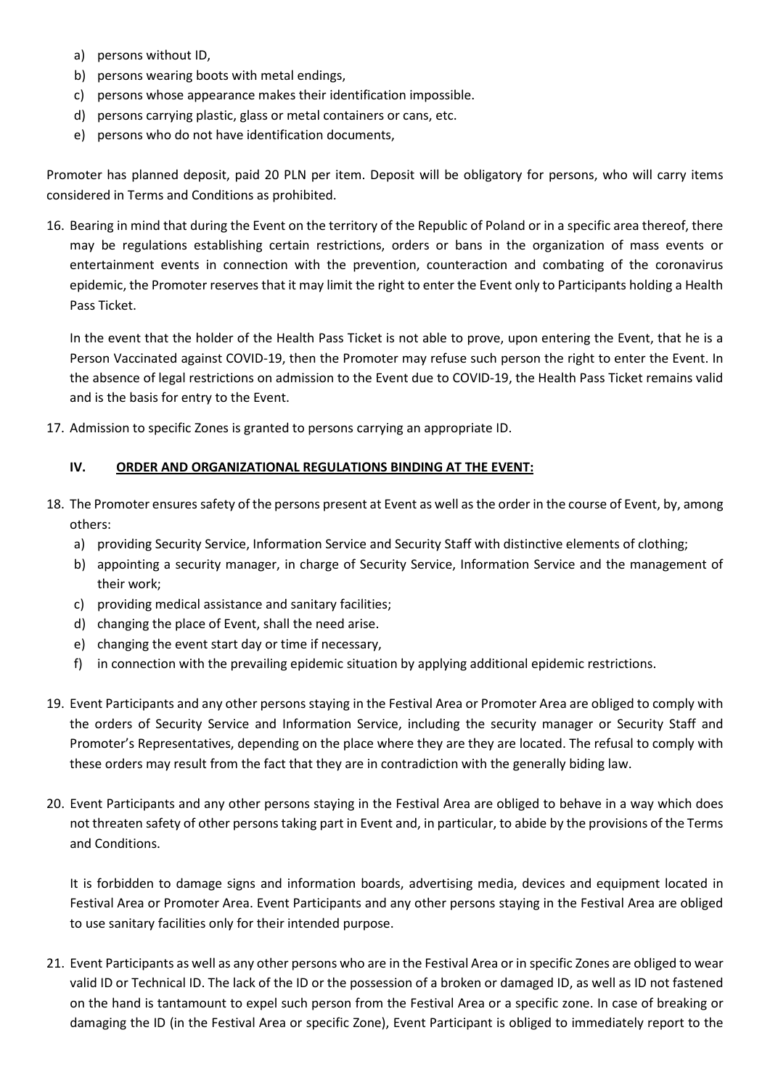- a) persons without ID,
- b) persons wearing boots with metal endings,
- c) persons whose appearance makes their identification impossible.
- d) persons carrying plastic, glass or metal containers or cans, etc.
- e) persons who do not have identification documents,

Promoter has planned deposit, paid 20 PLN per item. Deposit will be obligatory for persons, who will carry items considered in Terms and Conditions as prohibited.

16. Bearing in mind that during the Event on the territory of the Republic of Poland or in a specific area thereof, there may be regulations establishing certain restrictions, orders or bans in the organization of mass events or entertainment events in connection with the prevention, counteraction and combating of the coronavirus epidemic, the Promoter reserves that it may limit the right to enter the Event only to Participants holding a Health Pass Ticket.

In the event that the holder of the Health Pass Ticket is not able to prove, upon entering the Event, that he is a Person Vaccinated against COVID-19, then the Promoter may refuse such person the right to enter the Event. In the absence of legal restrictions on admission to the Event due to COVID-19, the Health Pass Ticket remains valid and is the basis for entry to the Event.

17. Admission to specific Zones is granted to persons carrying an appropriate ID.

#### **IV. ORDER AND ORGANIZATIONAL REGULATIONS BINDING AT THE EVENT:**

- 18. The Promoter ensures safety of the persons present at Event as well as the order in the course of Event, by, among others:
	- a) providing Security Service, Information Service and Security Staff with distinctive elements of clothing;
	- b) appointing a security manager, in charge of Security Service, Information Service and the management of their work;
	- c) providing medical assistance and sanitary facilities;
	- d) changing the place of Event, shall the need arise.
	- e) changing the event start day or time if necessary,
	- f) in connection with the prevailing epidemic situation by applying additional epidemic restrictions.
- 19. Event Participants and any other persons staying in the Festival Area or Promoter Area are obliged to comply with the orders of Security Service and Information Service, including the security manager or Security Staff and Promoter's Representatives, depending on the place where they are they are located. The refusal to comply with these orders may result from the fact that they are in contradiction with the generally biding law.
- 20. Event Participants and any other persons staying in the Festival Area are obliged to behave in a way which does not threaten safety of other persons taking part in Event and, in particular, to abide by the provisions of the Terms and Conditions.

It is forbidden to damage signs and information boards, advertising media, devices and equipment located in Festival Area or Promoter Area. Event Participants and any other persons staying in the Festival Area are obliged to use sanitary facilities only for their intended purpose.

21. Event Participants as well as any other persons who are in the Festival Area or in specific Zones are obliged to wear valid ID or Technical ID. The lack of the ID or the possession of a broken or damaged ID, as well as ID not fastened on the hand is tantamount to expel such person from the Festival Area or a specific zone. In case of breaking or damaging the ID (in the Festival Area or specific Zone), Event Participant is obliged to immediately report to the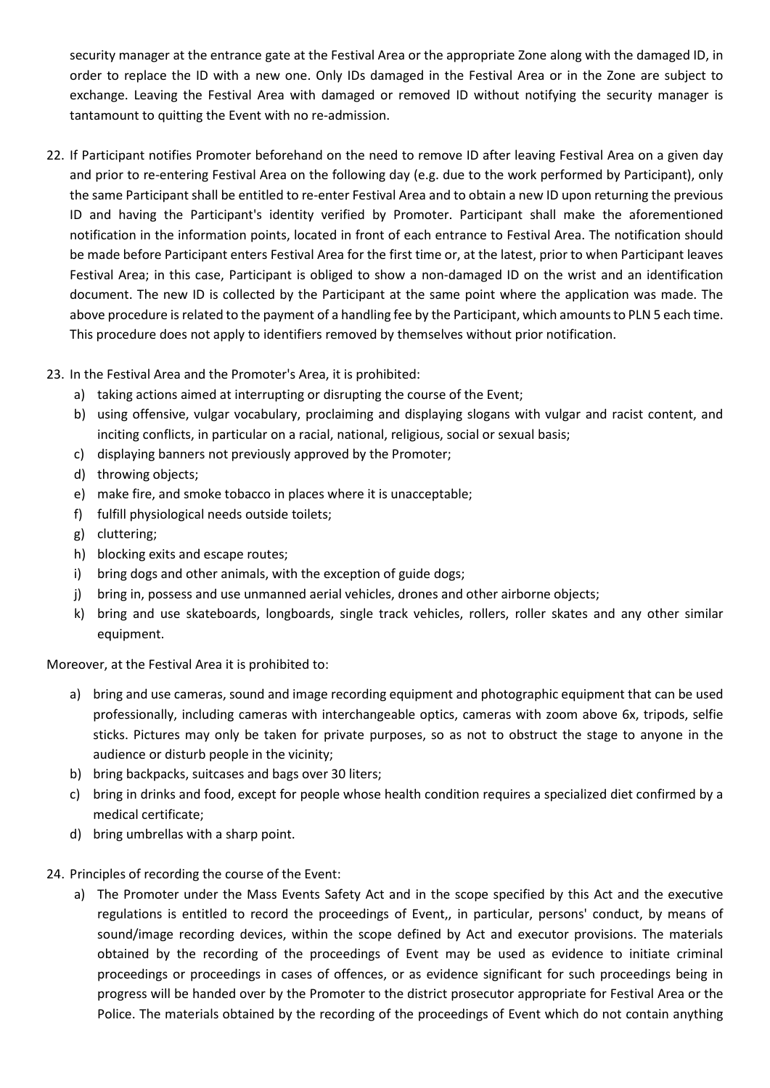security manager at the entrance gate at the Festival Area or the appropriate Zone along with the damaged ID, in order to replace the ID with a new one. Only IDs damaged in the Festival Area or in the Zone are subject to exchange. Leaving the Festival Area with damaged or removed ID without notifying the security manager is tantamount to quitting the Event with no re-admission.

- 22. If Participant notifies Promoter beforehand on the need to remove ID after leaving Festival Area on a given day and prior to re-entering Festival Area on the following day (e.g. due to the work performed by Participant), only the same Participant shall be entitled to re-enter Festival Area and to obtain a new ID upon returning the previous ID and having the Participant's identity verified by Promoter. Participant shall make the aforementioned notification in the information points, located in front of each entrance to Festival Area. The notification should be made before Participant enters Festival Area for the first time or, at the latest, prior to when Participant leaves Festival Area; in this case, Participant is obliged to show a non-damaged ID on the wrist and an identification document. The new ID is collected by the Participant at the same point where the application was made. The above procedure is related to the payment of a handling fee by the Participant, which amounts to PLN 5 each time. This procedure does not apply to identifiers removed by themselves without prior notification.
- 23. In the Festival Area and the Promoter's Area, it is prohibited:
	- a) taking actions aimed at interrupting or disrupting the course of the Event;
	- b) using offensive, vulgar vocabulary, proclaiming and displaying slogans with vulgar and racist content, and inciting conflicts, in particular on a racial, national, religious, social or sexual basis;
	- c) displaying banners not previously approved by the Promoter;
	- d) throwing objects;
	- e) make fire, and smoke tobacco in places where it is unacceptable;
	- f) fulfill physiological needs outside toilets;
	- g) cluttering;
	- h) blocking exits and escape routes;
	- i) bring dogs and other animals, with the exception of guide dogs;
	- j) bring in, possess and use unmanned aerial vehicles, drones and other airborne objects;
	- k) bring and use skateboards, longboards, single track vehicles, rollers, roller skates and any other similar equipment.

Moreover, at the Festival Area it is prohibited to:

- a) bring and use cameras, sound and image recording equipment and photographic equipment that can be used professionally, including cameras with interchangeable optics, cameras with zoom above 6x, tripods, selfie sticks. Pictures may only be taken for private purposes, so as not to obstruct the stage to anyone in the audience or disturb people in the vicinity;
- b) bring backpacks, suitcases and bags over 30 liters;
- c) bring in drinks and food, except for people whose health condition requires a specialized diet confirmed by a medical certificate;
- d) bring umbrellas with a sharp point.
- 24. Principles of recording the course of the Event:
	- a) The Promoter under the Mass Events Safety Act and in the scope specified by this Act and the executive regulations is entitled to record the proceedings of Event,, in particular, persons' conduct, by means of sound/image recording devices, within the scope defined by Act and executor provisions. The materials obtained by the recording of the proceedings of Event may be used as evidence to initiate criminal proceedings or proceedings in cases of offences, or as evidence significant for such proceedings being in progress will be handed over by the Promoter to the district prosecutor appropriate for Festival Area or the Police. The materials obtained by the recording of the proceedings of Event which do not contain anything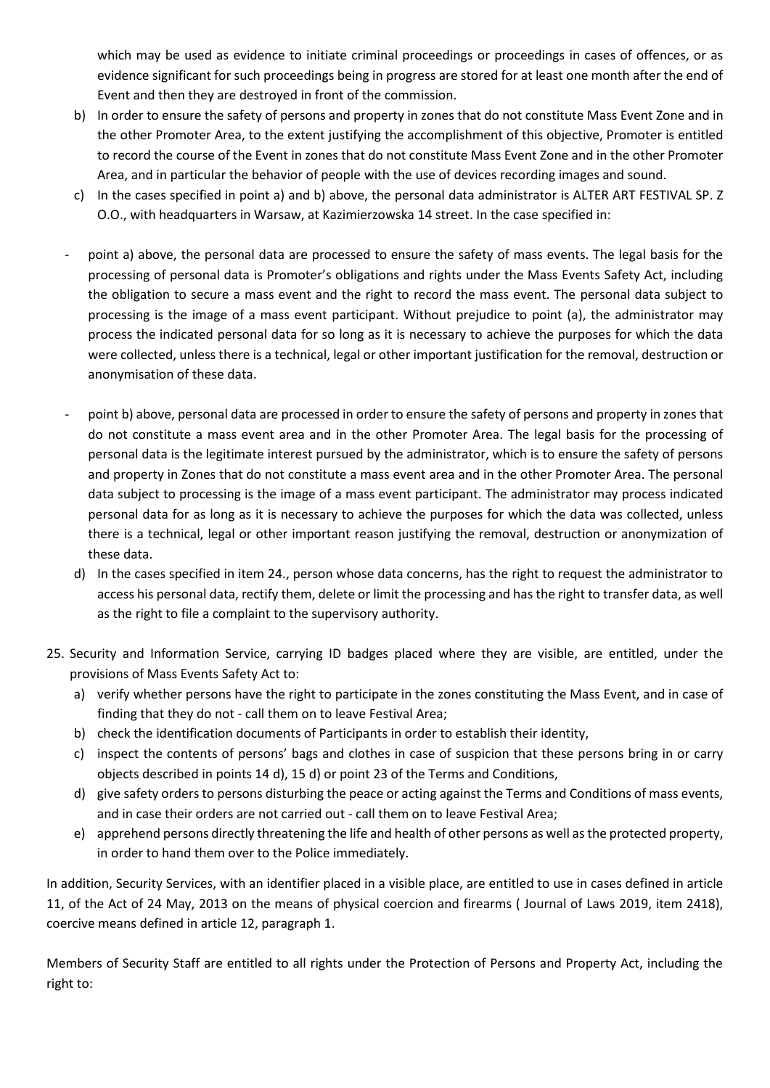which may be used as evidence to initiate criminal proceedings or proceedings in cases of offences, or as evidence significant for such proceedings being in progress are stored for at least one month after the end of Event and then they are destroyed in front of the commission.

- b) In order to ensure the safety of persons and property in zones that do not constitute Mass Event Zone and in the other Promoter Area, to the extent justifying the accomplishment of this objective, Promoter is entitled to record the course of the Event in zones that do not constitute Mass Event Zone and in the other Promoter Area, and in particular the behavior of people with the use of devices recording images and sound.
- c) In the cases specified in point a) and b) above, the personal data administrator is ALTER ART FESTIVAL SP. Z O.O., with headquarters in Warsaw, at Kazimierzowska 14 street. In the case specified in:
- point a) above, the personal data are processed to ensure the safety of mass events. The legal basis for the processing of personal data is Promoter's obligations and rights under the Mass Events Safety Act, including the obligation to secure a mass event and the right to record the mass event. The personal data subject to processing is the image of a mass event participant. Without prejudice to point (a), the administrator may process the indicated personal data for so long as it is necessary to achieve the purposes for which the data were collected, unless there is a technical, legal or other important justification for the removal, destruction or anonymisation of these data.
- point b) above, personal data are processed in order to ensure the safety of persons and property in zones that do not constitute a mass event area and in the other Promoter Area. The legal basis for the processing of personal data is the legitimate interest pursued by the administrator, which is to ensure the safety of persons and property in Zones that do not constitute a mass event area and in the other Promoter Area. The personal data subject to processing is the image of a mass event participant. The administrator may process indicated personal data for as long as it is necessary to achieve the purposes for which the data was collected, unless there is a technical, legal or other important reason justifying the removal, destruction or anonymization of these data.
	- d) In the cases specified in item 24., person whose data concerns, has the right to request the administrator to access his personal data, rectify them, delete or limit the processing and has the right to transfer data, as well as the right to file a complaint to the supervisory authority.
- 25. Security and Information Service, carrying ID badges placed where they are visible, are entitled, under the provisions of Mass Events Safety Act to:
	- a) verify whether persons have the right to participate in the zones constituting the Mass Event, and in case of finding that they do not - call them on to leave Festival Area;
	- b) check the identification documents of Participants in order to establish their identity,
	- c) inspect the contents of persons' bags and clothes in case of suspicion that these persons bring in or carry objects described in points 14 d), 15 d) or point 23 of the Terms and Conditions,
	- d) give safety orders to persons disturbing the peace or acting against the Terms and Conditions of mass events, and in case their orders are not carried out - call them on to leave Festival Area;
	- e) apprehend persons directly threatening the life and health of other persons as well as the protected property, in order to hand them over to the Police immediately.

In addition, Security Services, with an identifier placed in a visible place, are entitled to use in cases defined in article 11, of the Act of 24 May, 2013 on the means of physical coercion and firearms ( Journal of Laws 2019, item 2418), coercive means defined in article 12, paragraph 1.

Members of Security Staff are entitled to all rights under the Protection of Persons and Property Act, including the right to: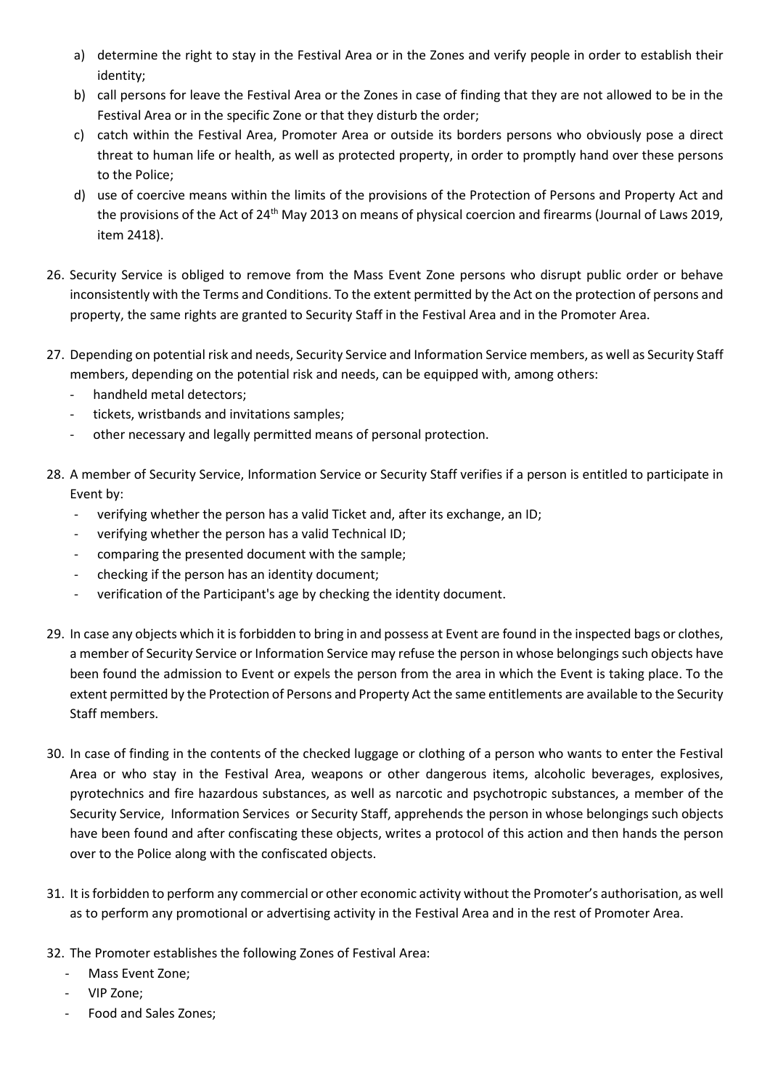- a) determine the right to stay in the Festival Area or in the Zones and verify people in order to establish their identity;
- b) call persons for leave the Festival Area or the Zones in case of finding that they are not allowed to be in the Festival Area or in the specific Zone or that they disturb the order;
- c) catch within the Festival Area, Promoter Area or outside its borders persons who obviously pose a direct threat to human life or health, as well as protected property, in order to promptly hand over these persons to the Police;
- d) use of coercive means within the limits of the provisions of the Protection of Persons and Property Act and the provisions of the Act of 24<sup>th</sup> May 2013 on means of physical coercion and firearms (Journal of Laws 2019, item 2418).
- 26. Security Service is obliged to remove from the Mass Event Zone persons who disrupt public order or behave inconsistently with the Terms and Conditions. To the extent permitted by the Act on the protection of persons and property, the same rights are granted to Security Staff in the Festival Area and in the Promoter Area.
- 27. Depending on potential risk and needs, Security Service and Information Service members, as well as Security Staff members, depending on the potential risk and needs, can be equipped with, among others:
	- handheld metal detectors;
	- tickets, wristbands and invitations samples;
	- other necessary and legally permitted means of personal protection.
- 28. A member of Security Service, Information Service or Security Staff verifies if a person is entitled to participate in Event by:
	- verifying whether the person has a valid Ticket and, after its exchange, an ID;
	- verifying whether the person has a valid Technical ID;
	- comparing the presented document with the sample;
	- checking if the person has an identity document;
	- verification of the Participant's age by checking the identity document.
- 29. In case any objects which it is forbidden to bring in and possess at Event are found in the inspected bags or clothes, a member of Security Service or Information Service may refuse the person in whose belongings such objects have been found the admission to Event or expels the person from the area in which the Event is taking place. To the extent permitted by the Protection of Persons and Property Act the same entitlements are available to the Security Staff members.
- 30. In case of finding in the contents of the checked luggage or clothing of a person who wants to enter the Festival Area or who stay in the Festival Area, weapons or other dangerous items, alcoholic beverages, explosives, pyrotechnics and fire hazardous substances, as well as narcotic and psychotropic substances, a member of the Security Service, Information Services or Security Staff, apprehends the person in whose belongings such objects have been found and after confiscating these objects, writes a protocol of this action and then hands the person over to the Police along with the confiscated objects.
- 31. It is forbidden to perform any commercial or other economic activity without the Promoter's authorisation, as well as to perform any promotional or advertising activity in the Festival Area and in the rest of Promoter Area.
- 32. The Promoter establishes the following Zones of Festival Area:
	- Mass Event Zone;
	- VIP Zone;
	- Food and Sales Zones;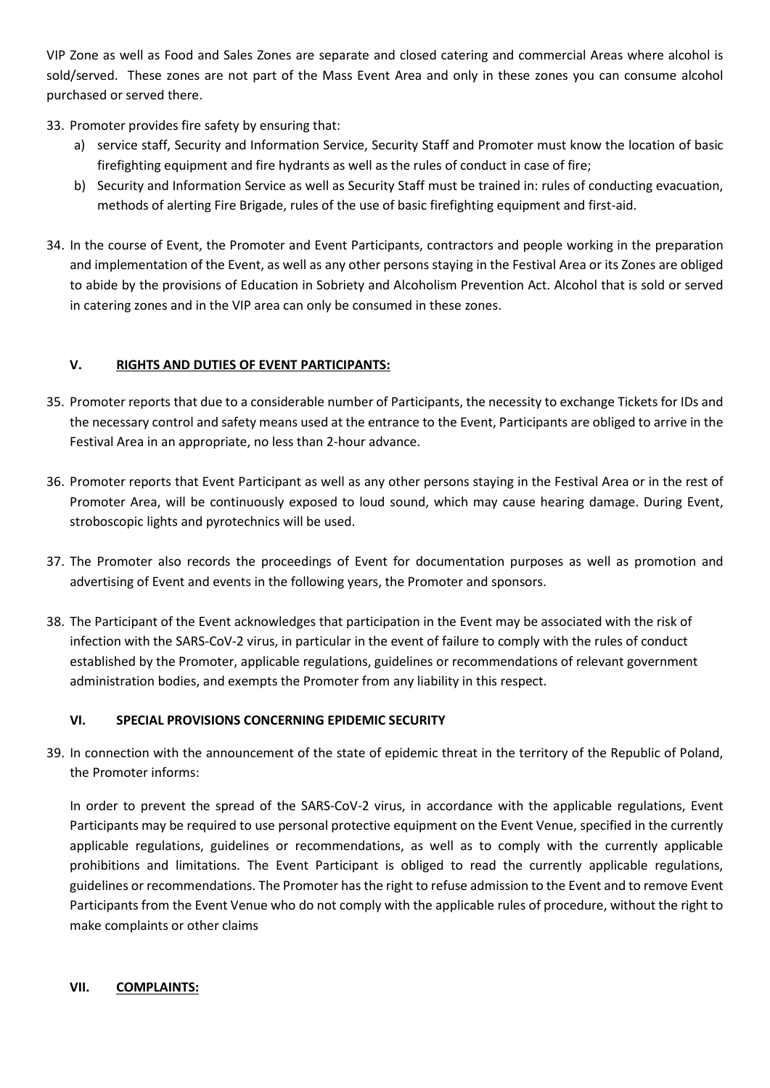VIP Zone as well as Food and Sales Zones are separate and closed catering and commercial Areas where alcohol is sold/served. These zones are not part of the Mass Event Area and only in these zones you can consume alcohol purchased or served there.

- 33. Promoter provides fire safety by ensuring that:
	- a) service staff, Security and Information Service, Security Staff and Promoter must know the location of basic firefighting equipment and fire hydrants as well as the rules of conduct in case of fire;
	- b) Security and Information Service as well as Security Staff must be trained in: rules of conducting evacuation, methods of alerting Fire Brigade, rules of the use of basic firefighting equipment and first-aid.
- 34. In the course of Event, the Promoter and Event Participants, contractors and people working in the preparation and implementation of the Event, as well as any other persons staying in the Festival Area or its Zones are obliged to abide by the provisions of Education in Sobriety and Alcoholism Prevention Act. Alcohol that is sold or served in catering zones and in the VIP area can only be consumed in these zones.

## **V. RIGHTS AND DUTIES OF EVENT PARTICIPANTS:**

- 35. Promoter reports that due to a considerable number of Participants, the necessity to exchange Tickets for IDs and the necessary control and safety means used at the entrance to the Event, Participants are obliged to arrive in the Festival Area in an appropriate, no less than 2-hour advance.
- 36. Promoter reports that Event Participant as well as any other persons staying in the Festival Area or in the rest of Promoter Area, will be continuously exposed to loud sound, which may cause hearing damage. During Event, stroboscopic lights and pyrotechnics will be used.
- 37. The Promoter also records the proceedings of Event for documentation purposes as well as promotion and advertising of Event and events in the following years, the Promoter and sponsors.
- 38. The Participant of the Event acknowledges that participation in the Event may be associated with the risk of infection with the SARS-CoV-2 virus, in particular in the event of failure to comply with the rules of conduct established by the Promoter, applicable regulations, guidelines or recommendations of relevant government administration bodies, and exempts the Promoter from any liability in this respect.

## **VI. SPECIAL PROVISIONS CONCERNING EPIDEMIC SECURITY**

39. In connection with the announcement of the state of epidemic threat in the territory of the Republic of Poland, the Promoter informs:

In order to prevent the spread of the SARS-CoV-2 virus, in accordance with the applicable regulations, Event Participants may be required to use personal protective equipment on the Event Venue, specified in the currently applicable regulations, guidelines or recommendations, as well as to comply with the currently applicable prohibitions and limitations. The Event Participant is obliged to read the currently applicable regulations, guidelines or recommendations. The Promoter has the right to refuse admission to the Event and to remove Event Participants from the Event Venue who do not comply with the applicable rules of procedure, without the right to make complaints or other claims

## **VII. COMPLAINTS:**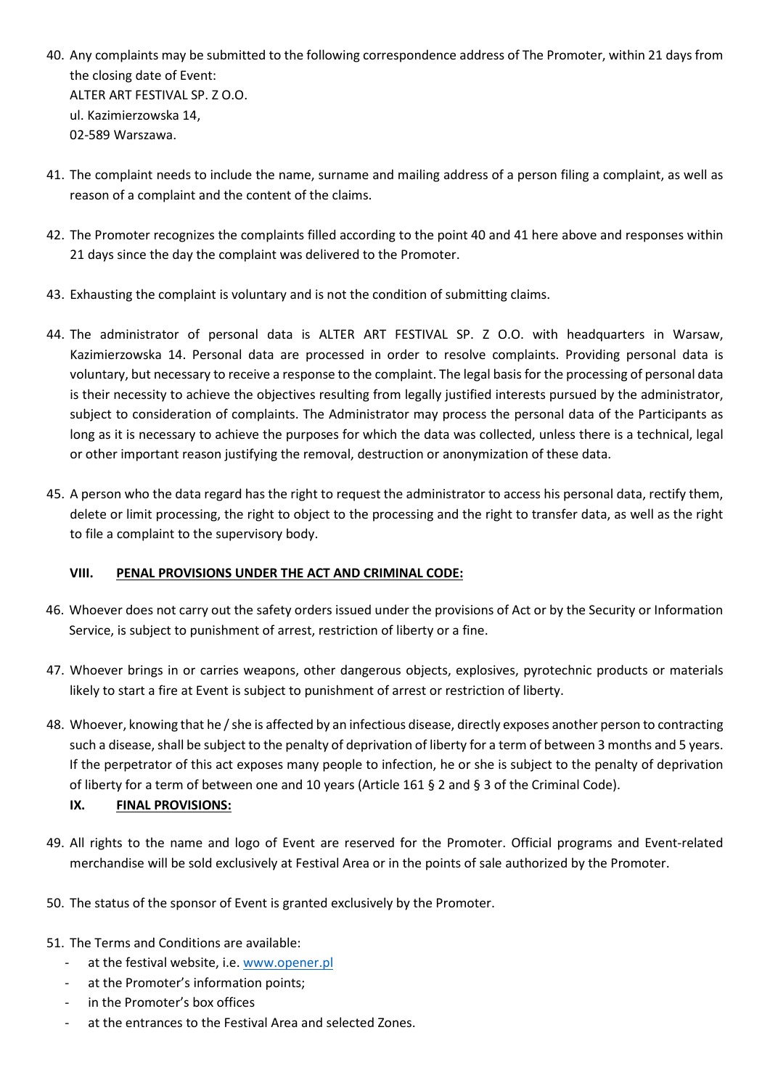- 40. Any complaints may be submitted to the following correspondence address of The Promoter, within 21 days from the closing date of Event: ALTER ART FESTIVAL SP. Z O.O. ul. Kazimierzowska 14, 02-589 Warszawa.
- 41. The complaint needs to include the name, surname and mailing address of a person filing a complaint, as well as reason of a complaint and the content of the claims.
- 42. The Promoter recognizes the complaints filled according to the point 40 and 41 here above and responses within 21 days since the day the complaint was delivered to the Promoter.
- 43. Exhausting the complaint is voluntary and is not the condition of submitting claims.
- 44. The administrator of personal data is ALTER ART FESTIVAL SP. Z O.O. with headquarters in Warsaw, Kazimierzowska 14. Personal data are processed in order to resolve complaints. Providing personal data is voluntary, but necessary to receive a response to the complaint. The legal basis for the processing of personal data is their necessity to achieve the objectives resulting from legally justified interests pursued by the administrator, subject to consideration of complaints. The Administrator may process the personal data of the Participants as long as it is necessary to achieve the purposes for which the data was collected, unless there is a technical, legal or other important reason justifying the removal, destruction or anonymization of these data.
- 45. A person who the data regard has the right to request the administrator to access his personal data, rectify them, delete or limit processing, the right to object to the processing and the right to transfer data, as well as the right to file a complaint to the supervisory body.

# **VIII. PENAL PROVISIONS UNDER THE ACT AND CRIMINAL CODE:**

- 46. Whoever does not carry out the safety orders issued under the provisions of Act or by the Security or Information Service, is subject to punishment of arrest, restriction of liberty or a fine.
- 47. Whoever brings in or carries weapons, other dangerous objects, explosives, pyrotechnic products or materials likely to start a fire at Event is subject to punishment of arrest or restriction of liberty.
- 48. Whoever, knowing that he / she is affected by an infectious disease, directly exposes another person to contracting such a disease, shall be subject to the penalty of deprivation of liberty for a term of between 3 months and 5 years. If the perpetrator of this act exposes many people to infection, he or she is subject to the penalty of deprivation of liberty for a term of between one and 10 years (Article 161 § 2 and § 3 of the Criminal Code).

# **IX. FINAL PROVISIONS:**

- 49. All rights to the name and logo of Event are reserved for the Promoter. Official programs and Event-related merchandise will be sold exclusively at Festival Area or in the points of sale authorized by the Promoter.
- 50. The status of the sponsor of Event is granted exclusively by the Promoter.
- 51. The Terms and Conditions are available:
	- at the festival website, i.e. [www.opener.pl](http://www.opener.pl/)
	- at the Promoter's information points;
	- in the Promoter's box offices
	- at the entrances to the Festival Area and selected Zones.